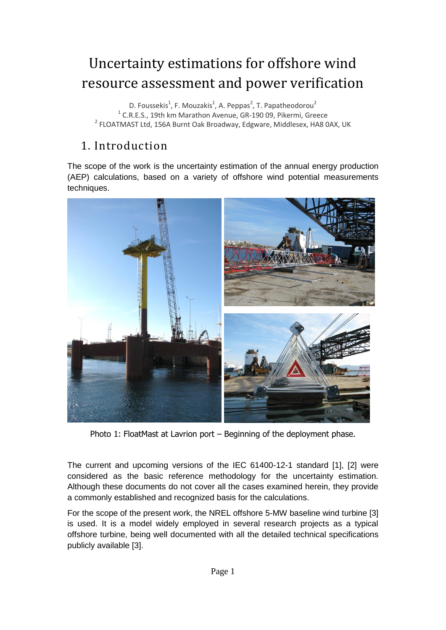# Uncertainty estimations for offshore wind resource assessment and power verification

D. Foussekis<sup>1</sup>, F. Mouzakis<sup>1</sup>, A. Peppas<sup>2</sup>, T. Papatheodorou<sup>2</sup> <sup>1</sup> C.R.E.S., 19th km Marathon Avenue, GR-190 09, Pikermi, Greece <sup>2</sup> FLOATMAST Ltd, 156A Burnt Oak Broadway, Edgware, Middlesex, HA8 0AX, UK

# 1. Introduction

The scope of the work is the uncertainty estimation of the annual energy production (AEP) calculations, based on a variety of offshore wind potential measurements techniques.



Photo 1: FloatMast at Lavrion port – Beginning of the deployment phase.

The current and upcoming versions of the IEC 61400-12-1 standard [1], [2] were considered as the basic reference methodology for the uncertainty estimation. Although these documents do not cover all the cases examined herein, they provide a commonly established and recognized basis for the calculations.

For the scope of the present work, the NREL offshore 5-MW baseline wind turbine [3] is used. It is a model widely employed in several research projects as a typical offshore turbine, being well documented with all the detailed technical specifications publicly available [3].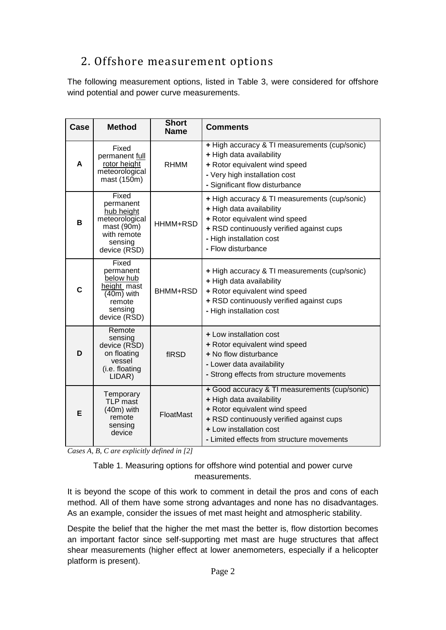# 2. Offshore measurement options

The following measurement options, listed in Table 3, were considered for offshore wind potential and power curve measurements.

| Case | <b>Method</b>                                                                                                             | <b>Short</b><br><b>Name</b> | <b>Comments</b>                                                                                                                                                                                                                 |
|------|---------------------------------------------------------------------------------------------------------------------------|-----------------------------|---------------------------------------------------------------------------------------------------------------------------------------------------------------------------------------------------------------------------------|
| A    | Fixed<br>permanent full<br>rotor height<br>meteorological<br>mast (150m)                                                  | <b>RHMM</b>                 | + High accuracy & TI measurements (cup/sonic)<br>+ High data availability<br>+ Rotor equivalent wind speed<br>- Very high installation cost<br>- Significant flow disturbance                                                   |
| B    | Fixed<br>permanent<br>hub height<br>meteorological<br>$\text{mast}(90\text{m})$<br>with remote<br>sensing<br>device (RSD) | HHMM+RSD                    | + High accuracy & TI measurements (cup/sonic)<br>+ High data availability<br>+ Rotor equivalent wind speed<br>+ RSD continuously verified against cups<br>- High installation cost<br>- Flow disturbance                        |
| C    | Fixed<br>permanent<br>below hub<br>height mast<br>$(40m)$ with<br>remote<br>sensing<br>device (RSD)                       | BHMM+RSD                    | + High accuracy & TI measurements (cup/sonic)<br>+ High data availability<br>+ Rotor equivalent wind speed<br>+ RSD continuously verified against cups<br>- High installation cost                                              |
| D    | Remote<br>sensing<br>device (RSD)<br>on floating<br>vessel<br>(i.e. floating<br>LIDAR)                                    | fIRSD                       | + Low installation cost<br>+ Rotor equivalent wind speed<br>+ No flow disturbance<br>- Lower data availability<br>- Strong effects from structure movements                                                                     |
| E    | Temporary<br>TLP mast<br>$(40m)$ with<br>remote<br>sensing<br>device                                                      | FloatMast                   | + Good accuracy & TI measurements (cup/sonic)<br>+ High data availability<br>+ Rotor equivalent wind speed<br>+ RSD continuously verified against cups<br>+ Low installation cost<br>- Limited effects from structure movements |

*Cases A, B, C are explicitly defined in [2]*

Table 1. Measuring options for offshore wind potential and power curve measurements.

It is beyond the scope of this work to comment in detail the pros and cons of each method. All of them have some strong advantages and none has no disadvantages. As an example, consider the issues of met mast height and atmospheric stability.

Despite the belief that the higher the met mast the better is, flow distortion becomes an important factor since self-supporting met mast are huge structures that affect shear measurements (higher effect at lower anemometers, especially if a helicopter platform is present).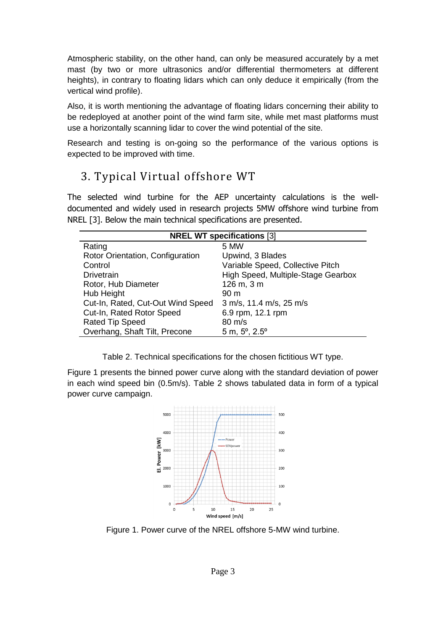Atmospheric stability, on the other hand, can only be measured accurately by a met mast (by two or more ultrasonics and/or differential thermometers at different heights), in contrary to floating lidars which can only deduce it empirically (from the vertical wind profile).

Also, it is worth mentioning the advantage of floating lidars concerning their ability to be redeployed at another point of the wind farm site, while met mast platforms must use a horizontally scanning lidar to cover the wind potential of the site.

Research and testing is on-going so the performance of the various options is expected to be improved with time.

### 3. Typical Virtual offshore WT

The selected wind turbine for the AEP uncertainty calculations is the welldocumented and widely used in research projects 5MW offshore wind turbine from NREL [3]. Below the main technical specifications are presented.

| <b>NREL WT specifications [3]</b> |                                    |  |  |  |  |  |  |
|-----------------------------------|------------------------------------|--|--|--|--|--|--|
| Rating                            | 5 MW                               |  |  |  |  |  |  |
| Rotor Orientation, Configuration  | Upwind, 3 Blades                   |  |  |  |  |  |  |
| Control                           | Variable Speed, Collective Pitch   |  |  |  |  |  |  |
| <b>Drivetrain</b>                 | High Speed, Multiple-Stage Gearbox |  |  |  |  |  |  |
| Rotor, Hub Diameter               | 126 m, 3 m                         |  |  |  |  |  |  |
| Hub Height                        | 90 <sub>m</sub>                    |  |  |  |  |  |  |
| Cut-In, Rated, Cut-Out Wind Speed | 3 m/s, 11.4 m/s, 25 m/s            |  |  |  |  |  |  |
| Cut-In, Rated Rotor Speed         | 6.9 rpm, 12.1 rpm                  |  |  |  |  |  |  |
| <b>Rated Tip Speed</b>            | $80 \text{ m/s}$                   |  |  |  |  |  |  |
| Overhang, Shaft Tilt, Precone     | $5 m, 5^{\circ}, 2.5^{\circ}$      |  |  |  |  |  |  |

Table 2. Technical specifications for the chosen fictitious WT type.

Figure 1 presents the binned power curve along with the standard deviation of power in each wind speed bin (0.5m/s). Table 2 shows tabulated data in form of a typical power curve campaign.



Figure 1. Power curve of the NREL offshore 5-MW wind turbine.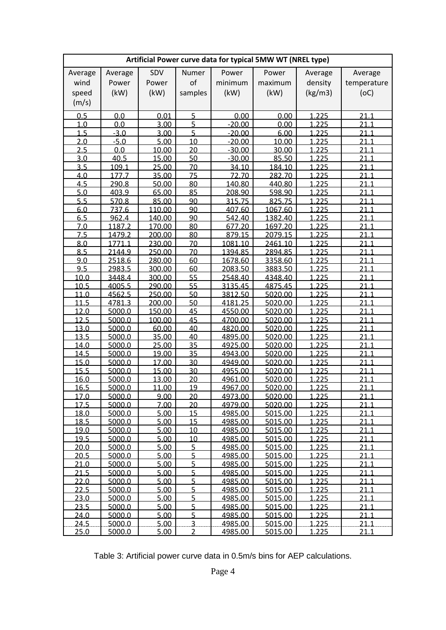| Artificial Power curve data for typical 5MW WT (NREL type) |                |                  |                |                  |                    |                |              |  |  |
|------------------------------------------------------------|----------------|------------------|----------------|------------------|--------------------|----------------|--------------|--|--|
| Average                                                    | Average        | SDV              | Numer          | Power            | Power              | Average        | Average      |  |  |
| wind                                                       | Power          | Power            | of             | minimum          | maximum            | density        | temperature  |  |  |
| speed                                                      | (kW)           | (kW)             | samples        | (kW)             | (kW)               | (kg/m3)        | (OC)         |  |  |
| (m/s)                                                      |                |                  |                |                  |                    |                |              |  |  |
|                                                            |                |                  |                |                  |                    |                |              |  |  |
| 0.5                                                        | 0.0            | 0.01             | 5              | 0.00             | 0.00               | 1.225          | 21.1         |  |  |
| 1.0                                                        | 0.0            | 3.00             | 5              | $-20.00$         | 0.00               | 1.225          | 21.1         |  |  |
| 1.5                                                        | $-3.0$         | 3.00             | 5              | $-20.00$         | 6.00               | 1.225          | 21.1         |  |  |
| 2.0                                                        | $-5.0$         | 5.00             | 10             | $-20.00$         | 10.00              | 1.225          | 21.1         |  |  |
| 2.5                                                        | 0.0            | 10.00            | 20             | $-30.00$         | 30.00              | 1.225          | 21.1         |  |  |
| 3.0                                                        | 40.5           | 15.00            | 50             | $-30.00$         | 85.50              | 1.225          | 21.1         |  |  |
| 3.5                                                        | 109.1          | 25.00            | 70             | 34.10            | 184.10             | 1.225          | 21.1         |  |  |
| <u>4.0</u>                                                 | 177.7          | 35.00            | 75             | <u>72.70</u>     | 282.70             | 1.225          | 21.1         |  |  |
| 4.5                                                        | 290.8          | 50.00            | 80             | 140.80           | 440.80             | 1.225          | 21.1         |  |  |
| 5.0<br>5.5                                                 | 403.9          | 65.00<br>85.00   | 85<br>90       | 208.90           | 598.90             | 1.225          | 21.1         |  |  |
| 6.0                                                        | 570.8<br>737.6 |                  | 90             | 315.75           | 825.75             | 1.225<br>1.225 | 21.1<br>21.1 |  |  |
| 6.5                                                        | 962.4          | 110.00<br>140.00 | 90             | 407.60<br>542.40 | 1067.60<br>1382.40 | 1.225          | 21.1         |  |  |
| 7.0                                                        | 1187.2         | 170.00           | 80             | 677.20           | 1697.20            | 1.225          | 21.1         |  |  |
| 7.5                                                        | 1479.2         | 200.00           | 80             | 879.15           | 2079.15            | 1.225          | 21.1         |  |  |
| 8.0                                                        | 1771.1         | 230.00           | 70             | 1081.10          | 2461.10            | 1.225          | 21.1         |  |  |
| 8.5                                                        | 2144.9         | 250.00           | 70             | 1394.85          | 2894.85            | 1.225          | <u> 21.1</u> |  |  |
| 9.0                                                        | 2518.6         | 280.00           | 60             | 1678.60          | 3358.60            | 1.225          | 21.1         |  |  |
| 9.5                                                        | 2983.5         | 300.00           | 60             | 2083.50          | 3883.50            | 1.225          | 21.1         |  |  |
| 10.0                                                       | 3448.4         | 300.00           | 55             | 2548.40          | 4348.40            | 1.225          | 21.1         |  |  |
| 10.5                                                       | 4005.5         | 290.00           | 55             | 3135.45          | 4875.45            | 1.225          | 21.1         |  |  |
| 11.0                                                       | 4562.5         | 250.00           | 50             | 3812.50          | 5020.00            | 1.225          | 21.1         |  |  |
| 11.5                                                       | 4781.3         | 200.00           | 50             | 4181.25          | 5020.00            | 1.225          | 21.1         |  |  |
| 12.0                                                       | 5000.0         | 150.00           | 45             | 4550.00          | 5020.00            | 1.225          | 21.1         |  |  |
| 12.5                                                       | 5000.0         | 100.00           | 45             | 4700.00          | 5020.00            | 1.225          | 21.1         |  |  |
| 13.0                                                       | 5000.0         | 60.00            | 40             | 4820.00          | 5020.00            | 1.225          | 21.1         |  |  |
| 13.5                                                       | 5000.0         | 35.00            | 40             | 4895.00          | 5020.00            | 1.225          | 21.1         |  |  |
| 14.0                                                       | 5000.0         | 25.00            | 35             | 4925.00          | 5020.00            | 1.225          | <u> 21.1</u> |  |  |
| 14.5                                                       | 5000.0         | 19.00            | 35             | 4943.00          | 5020.00            | 1.225          | 21.1         |  |  |
| 15.0                                                       | 5000.0         | 17.00            | 30             | 4949.00          | 5020.00            | 1.225          | 21.1         |  |  |
| 15.5                                                       | 5000.0         | 15.00            | 30             | 4955.00          | 5020.00            | 1.225          | 21.1         |  |  |
| 16.0                                                       | 5000.0         | 13.00            | 20             | 4961.00          | 5020.00            | 1.225          | 21.1         |  |  |
| 165                                                        | 5000.0         | 11.00            | 19             | 4967.00.         | 5020.00.           | 1.225          | 21 1         |  |  |
| 17.0                                                       | 5000.0         | 9.00             | 20             | 4973.00          | 5020.00            | 1.225          | 21.1         |  |  |
| 17.5                                                       | 5000.0         | 7.00             | 20             | 4979.00          | 5020.00            | 1.225          | 21.1         |  |  |
| 18.0                                                       | 5000.0         | 5.00             | 15             | 4985.00          | 5015.00            | 1.225          | 21.1         |  |  |
| 18.5                                                       | 5000.0         | 5.00             | 15             | 4985.00          | 5015.00            | 1.225          | 21.1         |  |  |
| 19.0                                                       | 5000.0         | 5.00             | 10             | 4985.00          | 5015.00            | 1.225          | 21.1         |  |  |
| 19.5                                                       | 5000.0         | 5.00             | 10             | 4985.00          | 5015.00            | 1.225          | 21.1         |  |  |
| 20.0                                                       | 5000.0         | 5.00             | $\overline{5}$ | 4985.00          | 5015.00            | 1.225          | 21.1         |  |  |
| 20.5                                                       | 5000.0         | 5.00             | $\overline{5}$ | 4985.00          | 5015.00            | 1.225          | 21.1         |  |  |
| 21.0                                                       | 5000.0         | 5.00             | $\overline{5}$ | 4985.00          | 5015.00            | 1.225          | 21.1         |  |  |
| 21.5                                                       | 5000.0         | 5.00             | $\overline{5}$ | 4985.00          | 5015.00            | 1.225          | 21.1         |  |  |
| 22.0                                                       | 5000.0         | 5.00             | 5              | 4985.00          | 5015.00            | 1.225          | 21.1         |  |  |
| 22.5                                                       | 5000.0         | 5.00             | $\overline{5}$ | 4985.00          | 5015.00            | 1.225          | 21.1         |  |  |
| 23.0                                                       | 5000.0         | 5.00             | $\overline{5}$ | 4985.00          | 5015.00            | 1.225          | 21.1         |  |  |
| 23.5                                                       | 5000.0         | 5.00             | 5              | 4985.00          | 5015.00            | 1.225          | 21.1         |  |  |
| 24.0                                                       | 5000.0         | 5.00             | 5              | 4985.00          | 5015.00            | 1.225          | 21.1         |  |  |
| 24.5                                                       | 5000.0         | 5.00             | $\overline{3}$ | 4985.00          | 5015.00            | 1.225          | 21.1         |  |  |
| 25.0                                                       | 5000.0         | 5.00             | $\overline{2}$ | 4985.00          | 5015.00            | <u>1.225</u>   | <u>21.1</u>  |  |  |

Table 3: Artificial power curve data in 0.5m/s bins for AEP calculations.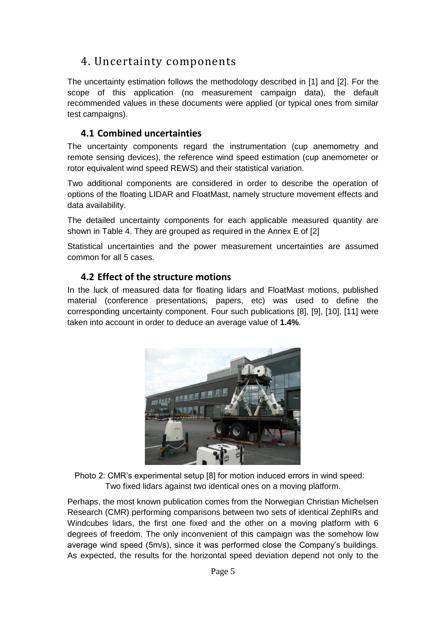# 4. Uncertainty components

The uncertainty estimation follows the methodology described in [1] and [2]. For the scope of this application (no measurement campaign data), the default recommended values in these documents were applied (or typical ones from similar test campaigns).

#### **4.1 Combined uncertainties**

The uncertainty components regard the instrumentation (cup anemometry and remote sensing devices), the reference wind speed estimation (cup anemometer or rotor equivalent wind speed REWS) and their statistical variation.

Two additional components are considered in order to describe the operation of options of the floating LIDAR and FloatMast, namely structure movement effects and data availability.

The detailed uncertainty components for each applicable measured quantity are shown in Table 4. They are grouped as required in the Annex E of [2]

Statistical uncertainties and the power measurement uncertainties are assumed common for all 5 cases.

#### **4.2 Effect of the structure motions**

In the luck of measured data for floating lidars and FloatMast motions, published material (conference presentations, papers, etc) was used to define the corresponding uncertainty component. Four such publications [8], [9], [10], [11] were taken into account in order to deduce an average value of **1.4%**.



Photo 2: CMR's experimental setup [8] for motion induced errors in wind speed: Two fixed lidars against two identical ones on a moving platform.

Perhaps, the most known publication comes from the Norwegian Christian Michelsen Research (CMR) performing comparisons between two sets of identical ZephIRs and Windcubes lidars, the first one fixed and the other on a moving platform with 6 degrees of freedom. The only inconvenient of this campaign was the somehow low average wind speed (5m/s), since it was performed close the Company's buildings. As expected, the results for the horizontal speed deviation depend not only to the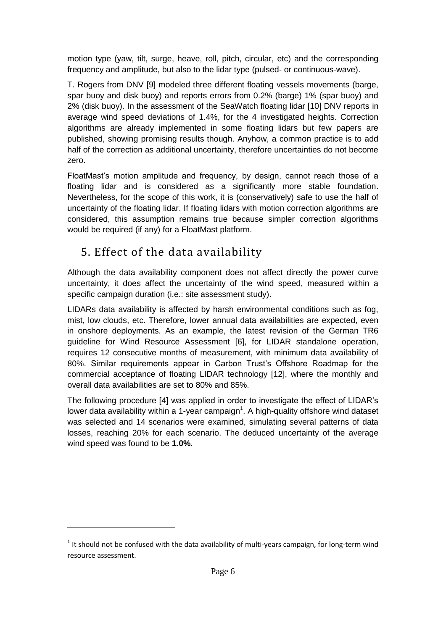motion type (yaw, tilt, surge, heave, roll, pitch, circular, etc) and the corresponding frequency and amplitude, but also to the lidar type (pulsed- or continuous-wave).

T. Rogers from DNV [9] modeled three different floating vessels movements (barge, spar buoy and disk buoy) and reports errors from 0.2% (barge) 1% (spar buoy) and 2% (disk buoy). In the assessment of the SeaWatch floating lidar [10] DNV reports in average wind speed deviations of 1.4%, for the 4 investigated heights. Correction algorithms are already implemented in some floating lidars but few papers are published, showing promising results though. Anyhow, a common practice is to add half of the correction as additional uncertainty, therefore uncertainties do not become zero.

FloatMast's motion amplitude and frequency, by design, cannot reach those of a floating lidar and is considered as a significantly more stable foundation. Nevertheless, for the scope of this work, it is (conservatively) safe to use the half of uncertainty of the floating lidar. If floating lidars with motion correction algorithms are considered, this assumption remains true because simpler correction algorithms would be required (if any) for a FloatMast platform.

# 5. Effect of the data availability

-

Although the data availability component does not affect directly the power curve uncertainty, it does affect the uncertainty of the wind speed, measured within a specific campaign duration (i.e.: site assessment study).

LIDARs data availability is affected by harsh environmental conditions such as fog, mist, low clouds, etc. Therefore, lower annual data availabilities are expected, even in onshore deployments. As an example, the latest revision of the German TR6 guideline for Wind Resource Assessment [6], for LIDAR standalone operation, requires 12 consecutive months of measurement, with minimum data availability of 80%. Similar requirements appear in Carbon Trust's Offshore Roadmap for the commercial acceptance of floating LIDAR technology [12], where the monthly and overall data availabilities are set to 80% and 85%.

The following procedure [4] was applied in order to investigate the effect of LIDAR's lower data availability within a 1-year campaign<sup>1</sup>. A high-quality offshore wind dataset was selected and 14 scenarios were examined, simulating several patterns of data losses, reaching 20% for each scenario. The deduced uncertainty of the average wind speed was found to be **1.0%**.

 $<sup>1</sup>$  It should not be confused with the data availability of multi-years campaign, for long-term wind</sup> resource assessment.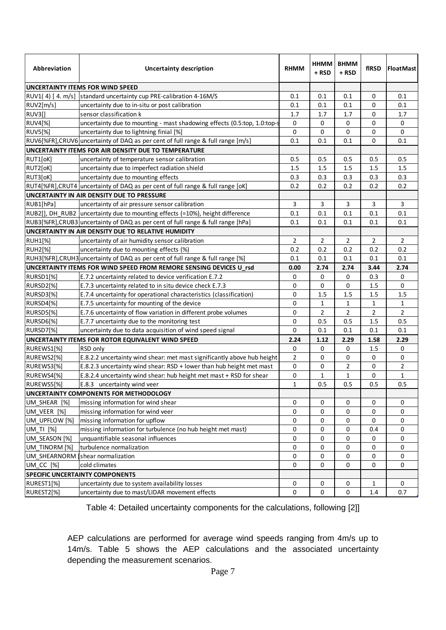| Abbreviation   | <b>Uncertainty description</b>                                                  | <b>RHMM</b>    | HHMM<br>+ RSD  | <b>BHMM</b><br>+ RSD | fIRSD          | <b>FloatMast</b> |
|----------------|---------------------------------------------------------------------------------|----------------|----------------|----------------------|----------------|------------------|
|                | UNCERTAINTY ITEMS FOR WIND SPEED                                                |                |                |                      |                |                  |
|                | RUV1(4) [4. m/s] standard uncertainty cup PRE-calibration 4-16M/S               | 0.1            | 0.1            | 0.1                  | 0              | 0.1              |
| RUV2[m/s]      | uncertainty due to in-situ or post calibration                                  | 0.1            | 0.1            | 0.1                  | 0              | 0.1              |
| <b>RUV3[]</b>  | sensor classification k                                                         | 1.7            | 1.7            | 1.7                  | 0              | 1.7              |
| <b>RUV4[%]</b> | uncertainty due to mounting - mast shadowing effects (0.5:top, 1.0:top-s        | 0              | 0              | 0                    | 0              | 0                |
| <b>RUV5[%]</b> | uncertainty due to lightning finial [%]                                         | 0              | 0              | 0                    | 0              | 0                |
|                | RUV6[%FR],CRUV6 uncertainty of DAQ as per cent of full range & full range [m/s] | 0.1            | 0.1            | 0.1                  | $\mathbf 0$    | 0.1              |
|                | UNCERTAINTY ITEMS FOR AIR DENSITY DUE TO TEMPERATURE                            |                |                |                      |                |                  |
| RUT1[oK]       | uncertainty of temperature sensor calibration                                   | 0.5            | 0.5            | 0.5                  | 0.5            | 0.5              |
| RUT2[oK]       | uncertainty due to imperfect radiation shield                                   | 1.5            | 1.5            | 1.5                  | 1.5            | $1.5\,$          |
| RUT3[oK]       | uncertainty due to mounting effects                                             | 0.3            | 0.3            | 0.3                  | 0.3            | 0.3              |
|                | RUT4[%FR], CRUT4 uncertainty of DAQ as per cent of full range & full range [oK] | 0.2            | 0.2            | 0.2                  | 0.2            | 0.2              |
|                | UNCERTAINTY IN AIR DENSITY DUE TO PRESSURE                                      |                |                |                      |                |                  |
| RUB1[hPa]      | uncertainty of air pressure sensor calibration                                  | 3              | 3              | 3                    | 3              | 3                |
|                | RUB2[], DH_RUB2 uncertainty due to mounting effects (=10%), height difference   | 0.1            | 0.1            | 0.1                  | 0.1            | 0.1              |
|                | RUB3[%FR],CRUB3 uncertainty of DAQ as per cent of full range & full range [hPa] | 0.1            | 0.1            | 0.1                  | 0.1            | 0.1              |
|                | UNCERTAINTY IN AIR DENSITY DUE TO RELATIVE HUMIDITY                             |                |                |                      |                |                  |
| <b>RUH1[%]</b> | uncertainty of air humidity sensor calibration                                  | $\overline{2}$ | 2              | $\overline{2}$       | $\overline{2}$ | $\overline{2}$   |
| <b>RUH2[%]</b> | uncertainty due to mounting effects (%)                                         | 0.2            | 0.2            | 0.2                  | 0.2            | 0.2              |
|                | RUH3[%FR], CRUH3 uncertainty of DAQ as per cent of full range & full range [%]  | 0.1            | 0.1            | 0.1                  | 0.1            | 0.1              |
|                | UNCERTAINTY ITEMS FOR WIND SPEED FROM REMORE SENSING DEVICES U rsd              | 0.00           | 2.74           | 2.74                 | 3.44           | 2.74             |
| RURSD1[%]      | E.7.2 uncertainty related to device verification E.7.2                          | 0              | $\mathbf 0$    | 0                    | 0.3            | 0                |
| RURSD2[%]      | E.7.3 uncertainty related to in situ device check E.7.3                         | 0              | $\mathbf 0$    | 0                    | 1.5            | 0                |
| RURSD3[%]      | E.7.4 uncertainty for operational characteristics (classification)              | 0              | 1.5            | 1.5                  | 1.5            | 1.5              |
| RURSD4[%]      | E.7.5 uncertainty for mounting of the device                                    | 0              | $\mathbf{1}$   | $\mathbf{1}$         | 1              | 1                |
| RURSD5[%]      | E.7.6 uncertainty of flow variation in different probe volumes                  | 0              | $\overline{2}$ | $\overline{2}$       | $\overline{2}$ | 2                |
| RURSD6[%]      | E.7.7 uncertainty due to the monitoring test                                    | 0              | 0.5            | 0.5                  | 1.5            | 0.5              |
| RURSD7[%]      | uncertainty due to data acquisition of wind speed signal                        | 0              | 0.1            | 0.1                  | 0.1            | 0.1              |
|                | UNCERTAINTY ITEMS FOR ROTOR EQUIVALENT WIND SPEED                               | 2.24           | 1.12           | 2.29                 | 1.58           | 2.29             |
| RUREWS1[%]     | RSD only                                                                        | 0              | 0              | 0                    | 1.5            | 0                |
| RUREWS2[%]     | E.8.2.2 uncertainty wind shear: met mast significantly above hub height         | $\overline{2}$ | 0              | 0                    | 0              | 0                |
| RUREWS3[%]     | E.8.2.3 uncertainty wind shear: RSD + lower than hub height met mast            | 0              | 0              | $\overline{2}$       | 0              | 2                |
| RUREWS4[%]     | E.8.2.4 uncertainty wind shear: hub height met mast + RSD for shear             | 0              | $\mathbf{1}$   | 1                    | $\mathbf 0$    | 1                |
| RUREWS5[%]     | E.8.3 uncertainty wind veer                                                     | $\mathbf{1}$   | 0.5            | 0.5                  | 0.5            | 0.5              |
|                | UNCERTAINTY COMPONENTS FOR METHODOLOGY                                          |                |                |                      |                |                  |
| UM SHEAR [%]   | missing information for wind shear                                              | 0              | 0              | 0                    | 0              | $\mathbf 0$      |
| UM VEER [%]    | missing information for wind veer                                               | 0              | 0              | 0                    | 0              | 0                |
| UM_UPFLOW [%]  | missing information for upflow                                                  | 0              | 0              | 0                    | 0              | 0                |
| UM TI [%]      | missing information for turbulence (no hub height met mast)                     | 0              | 0              | 0                    | 0.4            | 0                |
| UM SEASON [%]  | unquantifiable seasonal influences                                              | 0              | 0              | 0                    | 0              | 0                |
| UM TINORM [%]  | turbulence normalization                                                        | 0              | 0              | 0                    | 0              | 0                |
|                | UM SHEARNORM shear normalization                                                | 0              | 0              | 0                    | 0              | 0                |
| UM_CC [%]      | cold climates                                                                   | 0              | $\mathbf 0$    | 0                    | 0              | $\mathbf 0$      |
|                | <b>SPECIFIC UNCERTAINTY COMPONENTS</b>                                          |                |                |                      |                |                  |
| RUREST1[%]     | uncertainty due to system availability losses                                   | 0              | 0              | 0                    | $\mathbf{1}$   | 0                |
| RUREST2[%]     | uncertainty due to mast/LIDAR movement effects                                  | 0              | $\mathbf 0$    | $\mathbf 0$          | 1.4            | 0.7              |

Table 4: Detailed uncertainty components for the calculations, following [2]]

AEP calculations are performed for average wind speeds ranging from 4m/s up to 14m/s. Table 5 shows the AEP calculations and the associated uncertainty depending the measurement scenarios.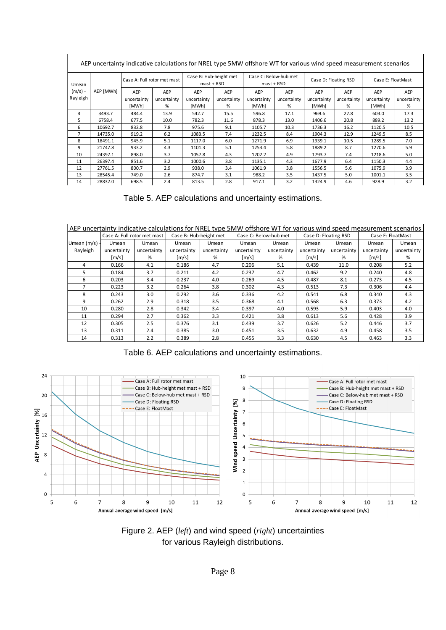| AEP uncertainty indicative calculations for NREL type 5MW offshore WT for various wind speed measurement scenarios |           |                             |             |                                              |             |                                                       |             |                      |             |                   |             |
|--------------------------------------------------------------------------------------------------------------------|-----------|-----------------------------|-------------|----------------------------------------------|-------------|-------------------------------------------------------|-------------|----------------------|-------------|-------------------|-------------|
| Umean                                                                                                              |           | Case A: Full rotor met mast |             | Case B: Hub-height met<br>$\text{mst}$ + RSD |             | Case C: Below-hub met<br>$\text{master} + \text{RSD}$ |             | Case D: Floating RSD |             | Case E: FloatMast |             |
| $(m/s)$ -                                                                                                          | AEP [MWh] | AEP                         | AEP         | AEP                                          | AEP         | AEP                                                   | AEP         | AEP                  | AEP         | AEP               | AEP         |
| Rayleigh                                                                                                           |           | uncertainty                 | uncertainty | uncertainty                                  | uncertainty | uncertainty                                           | uncertainty | uncertainty          | uncertainty | uncertainty       | uncertainty |
|                                                                                                                    |           | [MWh]                       | %           | [MWh]                                        | %           | [MWh]                                                 | %           | [MWh]                | %           | [MWh]             | %           |
| 4                                                                                                                  | 3493.7    | 484.4                       | 13.9        | 542.7                                        | 15.5        | 596.8                                                 | 17.1        | 969.6                | 27.8        | 603.0             | 17.3        |
| 5                                                                                                                  | 6758.4    | 677.5                       | 10.0        | 782.3                                        | 11.6        | 878.3                                                 | 13.0        | 1406.6               | 20.8        | 889.2             | 13.2        |
| 6                                                                                                                  | 10692.7   | 832.8                       | 7.8         | 975.6                                        | 9.1         | 1105.7                                                | 10.3        | 1736.3               | 16.2        | 1120.5            | 10.5        |
| 7                                                                                                                  | 14735.0   | 919.2                       | 6.2         | 1083.5                                       | 7.4         | 1232.5                                                | 8.4         | 1904.3               | 12.9        | 1249.5            | 8.5         |
| 8                                                                                                                  | 18491.1   | 945.9                       | 5.1         | 1117.0                                       | 6.0         | 1271.9                                                | 6.9         | 1939.1               | 10.5        | 1289.5            | 7.0         |
| 9                                                                                                                  | 21747.8   | 933.2                       | 4.3         | 1101.3                                       | 5.1         | 1253.4                                                | 5.8         | 1889.2               | 8.7         | 1270.6            | 5.9         |
| 10                                                                                                                 | 24397.1   | 898.0                       | 3.7         | 1057.8                                       | 4.3         | 1202.2                                                | 4.9         | 1793.7               | 7.4         | 1218.6            | 5.0         |
| 11                                                                                                                 | 26397.4   | 851.6                       | 3.2         | 1000.6                                       | 3.8         | 1135.1                                                | 4.3         | 1677.9               | 6.4         | 1150.3            | 4.4         |
| 12                                                                                                                 | 27761.5   | 800.7                       | 2.9         | 938.0                                        | 3.4         | 1061.9                                                | 3.8         | 1556.5               | 5.6         | 1075.9            | 3.9         |
| 13                                                                                                                 | 28545.4   | 749.0                       | 2.6         | 874.7                                        | 3.1         | 988.2                                                 | 3.5         | 1437.5               | 5.0         | 1001.1            | 3.5         |
| 14                                                                                                                 | 28832.0   | 698.5                       | 2.4         | 813.5                                        | 2.8         | 917.1                                                 | 3.2         | 1324.9               | 4.6         | 928.9             | 3.2         |

Table 5. AEP calculations and uncertainty estimations.

| AEP uncertainty indicative calculations for NREL type 5MW offshore WT for various wind speed measurement scenarios |                             |             |                        |             |                       |             |                      |             |                   |             |
|--------------------------------------------------------------------------------------------------------------------|-----------------------------|-------------|------------------------|-------------|-----------------------|-------------|----------------------|-------------|-------------------|-------------|
|                                                                                                                    | Case A: Full rotor met mast |             | Case B: Hub-height met |             | Case C: Below-hub met |             | Case D: Floating RSD |             | Case E: FloatMast |             |
| Umean $(m/s)$ -                                                                                                    | Umean                       | Umean       | Umean                  | Umean       | Umean                 | Umean       | Umean                | Umean       | Umean             | Umean       |
| Rayleigh                                                                                                           | uncertainty                 | uncertainty | uncertainty            | uncertainty | uncertainty           | uncertainty | uncertainty          | uncertainty | uncertainty       | uncertainty |
|                                                                                                                    | [m/s]                       | %           | [m/s]                  | %           | [m/s]                 | %           | [m/s]                | %           | [m/s]             | %           |
| 4                                                                                                                  | 0.166                       | 4.1         | 0.186                  | 4.7         | 0.206                 | 5.1         | 0.439                | 11.0        | 0.208             | 5.2         |
| 5                                                                                                                  | 0.184                       | 3.7         | 0.211                  | 4.2         | 0.237                 | 4.7         | 0.462                | 9.2         | 0.240             | 4.8         |
| 6                                                                                                                  | 0.203                       | 3.4         | 0.237                  | 4.0         | 0.269                 | 4.5         | 0.487                | 8.1         | 0.273             | 4.5         |
|                                                                                                                    | 0.223                       | 3.2         | 0.264                  | 3.8         | 0.302                 | 4.3         | 0.513                | 7.3         | 0.306             | 4.4         |
| 8                                                                                                                  | 0.243                       | 3.0         | 0.292                  | 3.6         | 0.336                 | 4.2         | 0.541                | 6.8         | 0.340             | 4.3         |
| q                                                                                                                  | 0.262                       | 2.9         | 0.318                  | 3.5         | 0.368                 | 4.1         | 0.568                | 6.3         | 0.373             | 4.2         |
| 10                                                                                                                 | 0.280                       | 2.8         | 0.342                  | 3.4         | 0.397                 | 4.0         | 0.593                | 5.9         | 0.403             | 4.0         |
| 11                                                                                                                 | 0.294                       | 2.7         | 0.362                  | 3.3         | 0.421                 | 3.8         | 0.613                | 5.6         | 0.428             | 3.9         |
| 12                                                                                                                 | 0.305                       | 2.5         | 0.376                  | 3.1         | 0.439                 | 3.7         | 0.626                | 5.2         | 0.446             | 3.7         |
| 13                                                                                                                 | 0.311                       | 2.4         | 0.385                  | 3.0         | 0.451                 | 3.5         | 0.632                | 4.9         | 0.458             | 3.5         |
| 14                                                                                                                 | 0.313                       | 2.2         | 0.389                  | 2.8         | 0.455                 | 3.3         | 0.630                | 4.5         | 0.463             | 3.3         |

Table 6. AEP calculations and uncertainty estimations.



Figure 2. AEP (*left*) and wind speed (*right*) uncertainties for various Rayleigh distributions.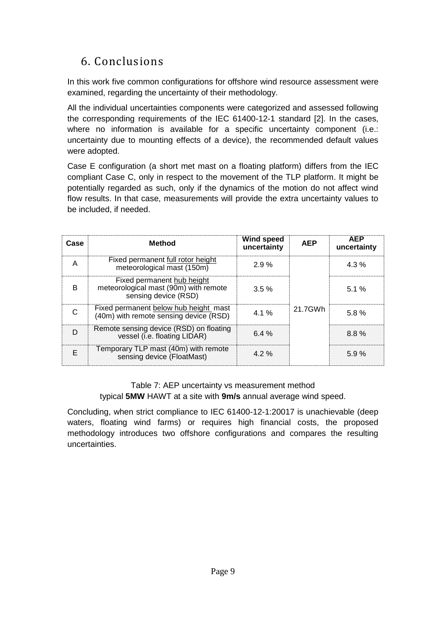# 6. Conclusions

In this work five common configurations for offshore wind resource assessment were examined, regarding the uncertainty of their methodology.

All the individual uncertainties components were categorized and assessed following the corresponding requirements of the IEC 61400-12-1 standard [2]. In the cases, where no information is available for a specific uncertainty component (i.e.: uncertainty due to mounting effects of a device), the recommended default values were adopted.

Case E configuration (a short met mast on a floating platform) differs from the IEC compliant Case C, only in respect to the movement of the TLP platform. It might be potentially regarded as such, only if the dynamics of the motion do not affect wind flow results. In that case, measurements will provide the extra uncertainty values to be included, if needed.

| Case | <b>Method</b>                                                                               | <b>Wind speed</b><br>uncertainty | <b>AEP</b> | <b>AEP</b><br>uncertainty |
|------|---------------------------------------------------------------------------------------------|----------------------------------|------------|---------------------------|
| А    | Fixed permanent full rotor height<br>meteorological mast (150m)                             | 2.9%                             |            | 4.3%                      |
| R    | Fixed permanent hub height<br>meteorological mast (90m) with remote<br>sensing device (RSD) | 3.5%                             |            | 5.1%                      |
|      | Fixed permanent below hub height mast<br>(40m) with remote sensing device (RSD)             | 4.1%                             | 21.7GWh    | 5.8%                      |
|      | Remote sensing device (RSD) on floating<br>vessel (i.e. floating LIDAR)                     | 6.4%                             |            | 8.8%                      |
|      | Temporary TLP mast (40m) with remote<br>sensing device (FloatMast)                          | 4.2%                             |            | 5.9%                      |

Table 7: AEP uncertainty vs measurement method typical **5MW** HAWT at a site with **9m/s** annual average wind speed.

Concluding, when strict compliance to IEC 61400-12-1:20017 is unachievable (deep waters, floating wind farms) or requires high financial costs, the proposed methodology introduces two offshore configurations and compares the resulting uncertainties.